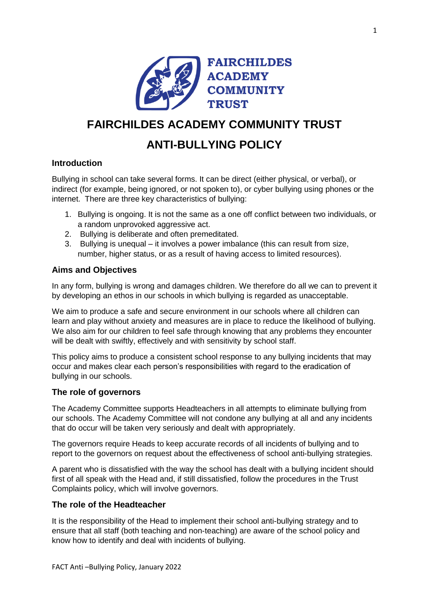

# **FAIRCHILDES ACADEMY COMMUNITY TRUST**

## **ANTI-BULLYING POLICY**

## **Introduction**

Bullying in school can take several forms. It can be direct (either physical, or verbal), or indirect (for example, being ignored, or not spoken to), or cyber bullying using phones or the internet. There are three key characteristics of bullying:

- 1. Bullying is ongoing. It is not the same as a one off conflict between two individuals, or a random unprovoked aggressive act.
- 2. Bullying is deliberate and often premeditated.
- 3. Bullying is unequal it involves a power imbalance (this can result from size, number, higher status, or as a result of having access to limited resources).

## **Aims and Objectives**

In any form, bullying is wrong and damages children. We therefore do all we can to prevent it by developing an ethos in our schools in which bullying is regarded as unacceptable.

We aim to produce a safe and secure environment in our schools where all children can learn and play without anxiety and measures are in place to reduce the likelihood of bullying. We also aim for our children to feel safe through knowing that any problems they encounter will be dealt with swiftly, effectively and with sensitivity by school staff.

This policy aims to produce a consistent school response to any bullying incidents that may occur and makes clear each person's responsibilities with regard to the eradication of bullying in our schools.

### **The role of governors**

The Academy Committee supports Headteachers in all attempts to eliminate bullying from our schools. The Academy Committee will not condone any bullying at all and any incidents that do occur will be taken very seriously and dealt with appropriately.

The governors require Heads to keep accurate records of all incidents of bullying and to report to the governors on request about the effectiveness of school anti-bullying strategies.

A parent who is dissatisfied with the way the school has dealt with a bullying incident should first of all speak with the Head and, if still dissatisfied, follow the procedures in the Trust Complaints policy, which will involve governors.

### **The role of the Headteacher**

It is the responsibility of the Head to implement their school anti-bullying strategy and to ensure that all staff (both teaching and non-teaching) are aware of the school policy and know how to identify and deal with incidents of bullying.